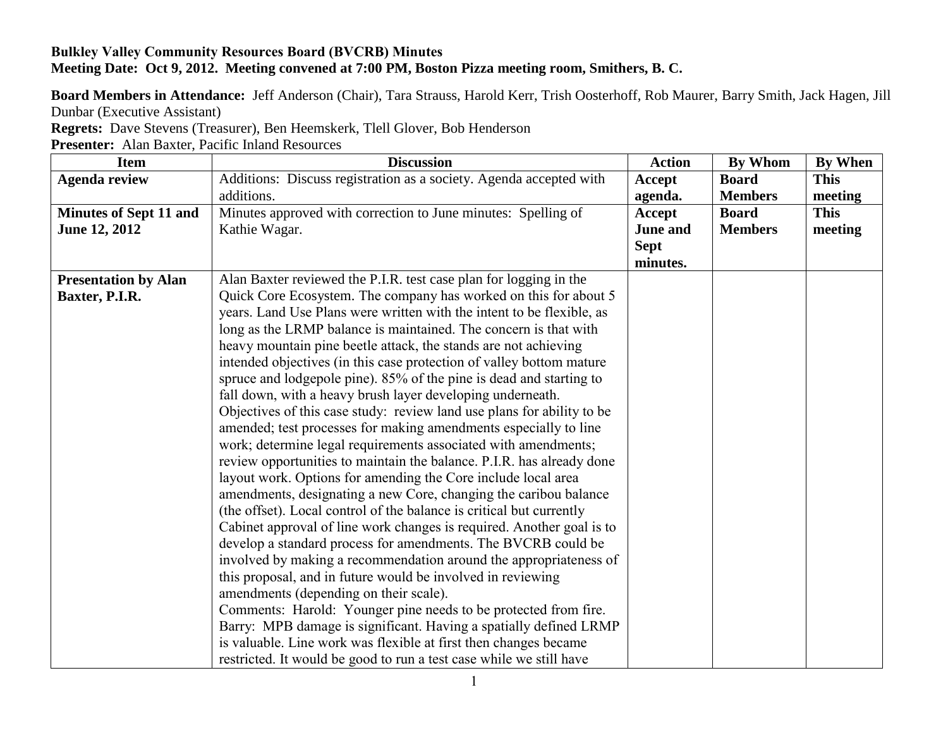## **Bulkley Valley Community Resources Board (BVCRB) Minutes Meeting Date: Oct 9, 2012. Meeting convened at 7:00 PM, Boston Pizza meeting room, Smithers, B. C.**

**Board Members in Attendance:** Jeff Anderson (Chair), Tara Strauss, Harold Kerr, Trish Oosterhoff, Rob Maurer, Barry Smith, Jack Hagen, Jill Dunbar (Executive Assistant)

**Regrets:** Dave Stevens (Treasurer), Ben Heemskerk, Tlell Glover, Bob Henderson

**Presenter:** Alan Baxter, Pacific Inland Resources

| <b>Item</b>                   | <b>Discussion</b>                                                      | <b>Action</b>   | <b>By Whom</b> | <b>By When</b> |
|-------------------------------|------------------------------------------------------------------------|-----------------|----------------|----------------|
| <b>Agenda review</b>          | Additions: Discuss registration as a society. Agenda accepted with     | Accept          | <b>Board</b>   | <b>This</b>    |
|                               | additions.                                                             | agenda.         | <b>Members</b> | meeting        |
| <b>Minutes of Sept 11 and</b> | Minutes approved with correction to June minutes: Spelling of          | Accept          | <b>Board</b>   | <b>This</b>    |
| June 12, 2012                 | Kathie Wagar.                                                          | <b>June and</b> | <b>Members</b> | meeting        |
|                               |                                                                        | <b>Sept</b>     |                |                |
|                               |                                                                        | minutes.        |                |                |
| <b>Presentation by Alan</b>   | Alan Baxter reviewed the P.I.R. test case plan for logging in the      |                 |                |                |
| Baxter, P.I.R.                | Quick Core Ecosystem. The company has worked on this for about 5       |                 |                |                |
|                               | years. Land Use Plans were written with the intent to be flexible, as  |                 |                |                |
|                               | long as the LRMP balance is maintained. The concern is that with       |                 |                |                |
|                               | heavy mountain pine beetle attack, the stands are not achieving        |                 |                |                |
|                               | intended objectives (in this case protection of valley bottom mature   |                 |                |                |
|                               | spruce and lodgepole pine). 85% of the pine is dead and starting to    |                 |                |                |
|                               | fall down, with a heavy brush layer developing underneath.             |                 |                |                |
|                               | Objectives of this case study: review land use plans for ability to be |                 |                |                |
|                               | amended; test processes for making amendments especially to line       |                 |                |                |
|                               | work; determine legal requirements associated with amendments;         |                 |                |                |
|                               | review opportunities to maintain the balance. P.I.R. has already done  |                 |                |                |
|                               | layout work. Options for amending the Core include local area          |                 |                |                |
|                               | amendments, designating a new Core, changing the caribou balance       |                 |                |                |
|                               | (the offset). Local control of the balance is critical but currently   |                 |                |                |
|                               | Cabinet approval of line work changes is required. Another goal is to  |                 |                |                |
|                               | develop a standard process for amendments. The BVCRB could be          |                 |                |                |
|                               | involved by making a recommendation around the appropriateness of      |                 |                |                |
|                               | this proposal, and in future would be involved in reviewing            |                 |                |                |
|                               | amendments (depending on their scale).                                 |                 |                |                |
|                               | Comments: Harold: Younger pine needs to be protected from fire.        |                 |                |                |
|                               | Barry: MPB damage is significant. Having a spatially defined LRMP      |                 |                |                |
|                               | is valuable. Line work was flexible at first then changes became       |                 |                |                |
|                               | restricted. It would be good to run a test case while we still have    |                 |                |                |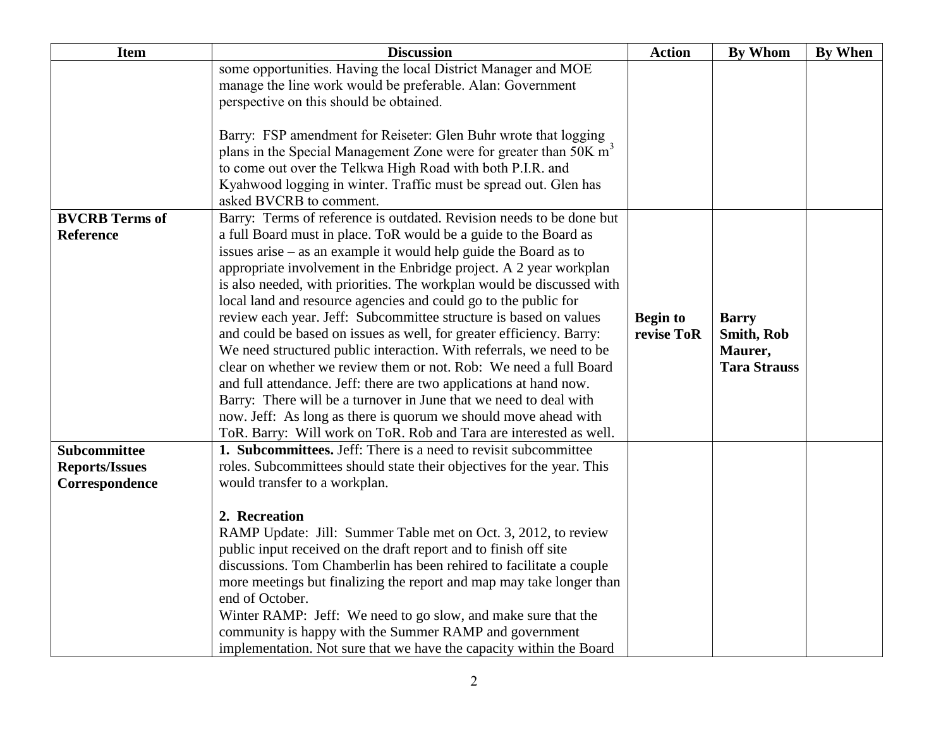| <b>Item</b>           | <b>Discussion</b>                                                                                                                                | <b>Action</b>   | <b>By Whom</b>      | <b>By When</b> |
|-----------------------|--------------------------------------------------------------------------------------------------------------------------------------------------|-----------------|---------------------|----------------|
|                       | some opportunities. Having the local District Manager and MOE                                                                                    |                 |                     |                |
|                       | manage the line work would be preferable. Alan: Government                                                                                       |                 |                     |                |
|                       | perspective on this should be obtained.                                                                                                          |                 |                     |                |
|                       |                                                                                                                                                  |                 |                     |                |
|                       | Barry: FSP amendment for Reiseter: Glen Buhr wrote that logging<br>plans in the Special Management Zone were for greater than 50K m <sup>3</sup> |                 |                     |                |
|                       | to come out over the Telkwa High Road with both P.I.R. and                                                                                       |                 |                     |                |
|                       | Kyahwood logging in winter. Traffic must be spread out. Glen has                                                                                 |                 |                     |                |
|                       | asked BVCRB to comment.                                                                                                                          |                 |                     |                |
| <b>BVCRB</b> Terms of | Barry: Terms of reference is outdated. Revision needs to be done but                                                                             |                 |                     |                |
| <b>Reference</b>      | a full Board must in place. ToR would be a guide to the Board as                                                                                 |                 |                     |                |
|                       | issues $arise - as$ an example it would help guide the Board as to                                                                               |                 |                     |                |
|                       | appropriate involvement in the Enbridge project. A 2 year workplan                                                                               |                 |                     |                |
|                       | is also needed, with priorities. The workplan would be discussed with                                                                            |                 |                     |                |
|                       | local land and resource agencies and could go to the public for                                                                                  |                 |                     |                |
|                       | review each year. Jeff: Subcommittee structure is based on values                                                                                | <b>Begin to</b> | <b>Barry</b>        |                |
|                       | and could be based on issues as well, for greater efficiency. Barry:                                                                             | revise ToR      | <b>Smith, Rob</b>   |                |
|                       | We need structured public interaction. With referrals, we need to be                                                                             |                 | Maurer,             |                |
|                       | clear on whether we review them or not. Rob: We need a full Board                                                                                |                 | <b>Tara Strauss</b> |                |
|                       | and full attendance. Jeff: there are two applications at hand now.                                                                               |                 |                     |                |
|                       | Barry: There will be a turnover in June that we need to deal with                                                                                |                 |                     |                |
|                       | now. Jeff: As long as there is quorum we should move ahead with                                                                                  |                 |                     |                |
|                       | ToR. Barry: Will work on ToR. Rob and Tara are interested as well.                                                                               |                 |                     |                |
| <b>Subcommittee</b>   | <b>1. Subcommittees.</b> Jeff: There is a need to revisit subcommittee                                                                           |                 |                     |                |
| <b>Reports/Issues</b> | roles. Subcommittees should state their objectives for the year. This                                                                            |                 |                     |                |
| Correspondence        | would transfer to a workplan.                                                                                                                    |                 |                     |                |
|                       | 2. Recreation                                                                                                                                    |                 |                     |                |
|                       | RAMP Update: Jill: Summer Table met on Oct. 3, 2012, to review                                                                                   |                 |                     |                |
|                       | public input received on the draft report and to finish off site                                                                                 |                 |                     |                |
|                       | discussions. Tom Chamberlin has been rehired to facilitate a couple                                                                              |                 |                     |                |
|                       | more meetings but finalizing the report and map may take longer than                                                                             |                 |                     |                |
|                       | end of October.                                                                                                                                  |                 |                     |                |
|                       | Winter RAMP: Jeff: We need to go slow, and make sure that the                                                                                    |                 |                     |                |
|                       | community is happy with the Summer RAMP and government                                                                                           |                 |                     |                |
|                       | implementation. Not sure that we have the capacity within the Board                                                                              |                 |                     |                |